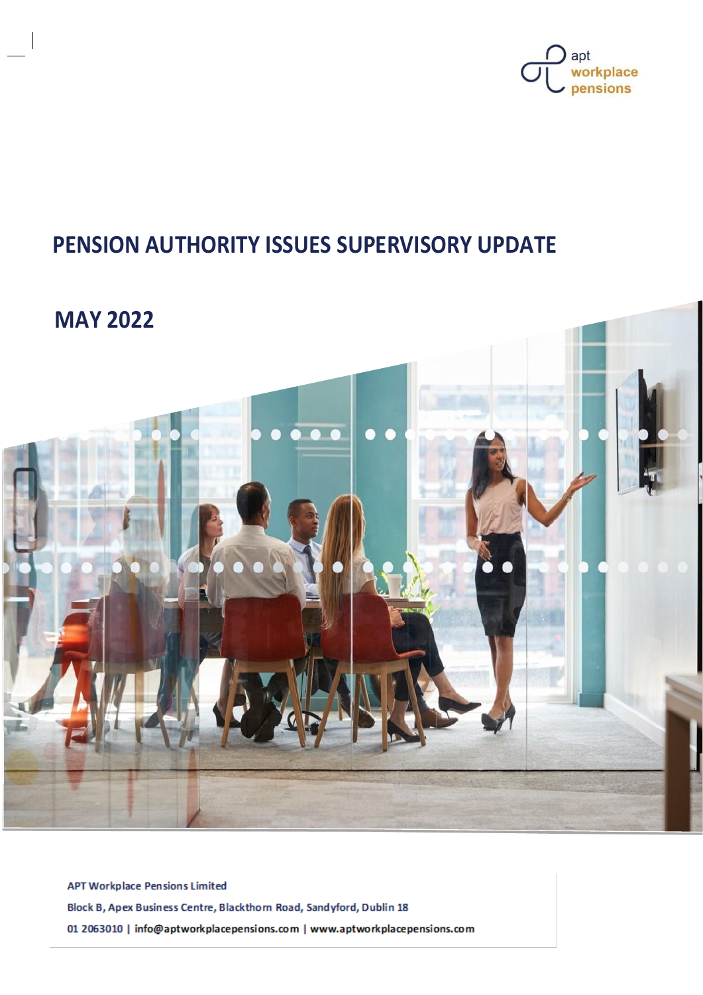

# **PENSION AUTHORITY ISSUES SUPERVISORY UPDATE**

## **MAY 2022**



**APT Workplace Pensions Limited** Block B, Apex Business Centre, Blackthorn Road, Sandyford, Dublin 18 01 2063010 | info@aptworkplacepensions.com | www.aptworkplacepensions.com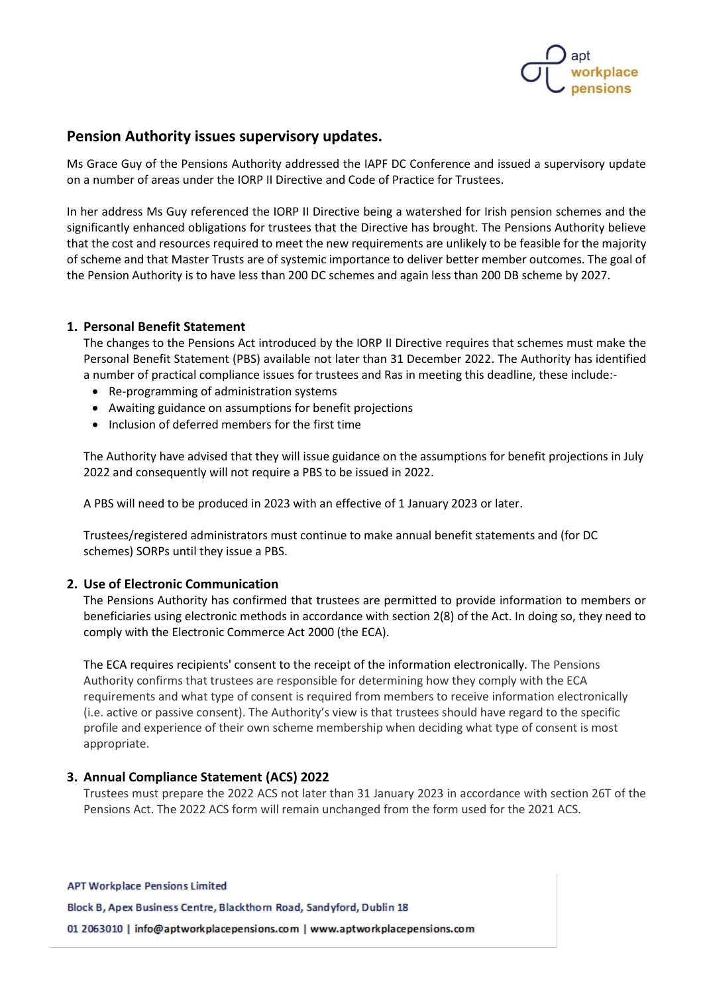

### **Pension Authority issues supervisory updates.**

Ms Grace Guy of the Pensions Authority addressed the IAPF DC Conference and issued a supervisory update on a number of areas under the IORP II Directive and Code of Practice for Trustees.

In her address Ms Guy referenced the IORP II Directive being a watershed for Irish pension schemes and the significantly enhanced obligations for trustees that the Directive has brought. The Pensions Authority believe that the cost and resources required to meet the new requirements are unlikely to be feasible for the majority of scheme and that Master Trusts are of systemic importance to deliver better member outcomes. The goal of the Pension Authority is to have less than 200 DC schemes and again less than 200 DB scheme by 2027.

#### **1. Personal Benefit Statement**

The changes to the Pensions Act introduced by the IORP II Directive requires that schemes must make the Personal Benefit Statement (PBS) available not later than 31 December 2022. The Authority has identified a number of practical compliance issues for trustees and Ras in meeting this deadline, these include:-

- Re-programming of administration systems
- Awaiting guidance on assumptions for benefit projections
- Inclusion of deferred members for the first time

The Authority have advised that they will issue guidance on the assumptions for benefit projections in July 2022 and consequently will not require a PBS to be issued in 2022.

A PBS will need to be produced in 2023 with an effective of 1 January 2023 or later.

Trustees/registered administrators must continue to make annual benefit statements and (for DC schemes) SORPs until they issue a PBS.

#### **2. Use of Electronic Communication**

The Pensions Authority has confirmed that trustees are permitted to provide information to members or beneficiaries using electronic methods in accordance with section 2(8) of the Act. In doing so, they need to comply with the Electronic Commerce Act 2000 (the ECA).

The ECA requires recipients' consent to the receipt of the information electronically. The Pensions Authority confirms that trustees are responsible for determining how they comply with the ECA requirements and what type of consent is required from members to receive information electronically (i.e. active or passive consent). The Authority's view is that trustees should have regard to the specific profile and experience of their own scheme membership when deciding what type of consent is most appropriate.

#### **3. Annual Compliance Statement (ACS) 2022**

Trustees must prepare the 2022 ACS not later than 31 January 2023 in accordance with section 26T of the Pensions Act. The 2022 ACS form will remain unchanged from the form used for the 2021 ACS.

**APT Workplace Pensions Limited** 

Block B, Apex Business Centre, Blackthorn Road, Sandyford, Dublin 18

01 2063010 | info@aptworkplacepensions.com | www.aptworkplacepensions.com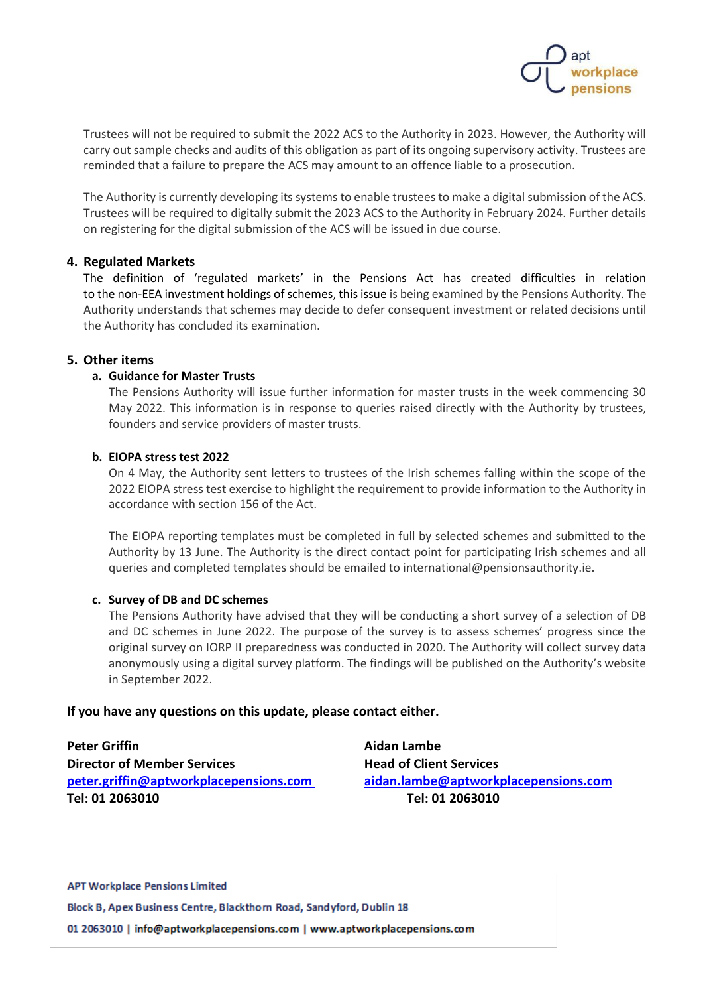

Trustees will not be required to submit the 2022 ACS to the Authority in 2023. However, the Authority will carry out sample checks and audits of this obligation as part of its ongoing supervisory activity. Trustees are reminded that a failure to prepare the ACS may amount to an offence liable to a prosecution.

The Authority is currently developing its systems to enable trustees to make a digital submission of the ACS. Trustees will be required to digitally submit the 2023 ACS to the Authority in February 2024. Further details on registering for the digital submission of the ACS will be issued in due course.

#### **4. Regulated Markets**

The definition of 'regulated markets' in the Pensions Act has created difficulties in relation to the non-EEA investment holdings of schemes, this issue is being examined by the Pensions Authority. The Authority understands that schemes may decide to defer consequent investment or related decisions until the Authority has concluded its examination.

#### **5. Other items**

#### **a. Guidance for Master Trusts**

The Pensions Authority will issue further information for master trusts in the week commencing 30 May 2022. This information is in response to queries raised directly with the Authority by trustees, founders and service providers of master trusts.

#### **b. EIOPA stress test 2022**

On 4 May, the Authority sent letters to trustees of the Irish schemes falling within the scope of the 2022 EIOPA stress test exercise to highlight the requirement to provide information to the Authority in accordance with section 156 of the Act.

The EIOPA reporting templates must be completed in full by selected schemes and submitted to the Authority by 13 June. The Authority is the direct contact point for participating Irish schemes and all queries and completed templates should be emailed to international@pensionsauthority.ie.

#### **c. Survey of DB and DC schemes**

The Pensions Authority have advised that they will be conducting a short survey of a selection of DB and DC schemes in June 2022. The purpose of the survey is to assess schemes' progress since the original survey on IORP II preparedness was conducted in 2020. The Authority will collect survey data anonymously using a digital survey platform. The findings will be published on the Authority's website in September 2022.

#### **If you have any questions on this update, please contact either.**

| <b>Peter Griffin</b>                   | Aidan Lambe                          |
|----------------------------------------|--------------------------------------|
| <b>Director of Member Services</b>     | <b>Head of Client Services</b>       |
| peter.griffin@aptworkplacepensions.com | aidan.lambe@aptworkplacepensions.com |
| Tel: 01 2063010                        | Tel: 01 2063010                      |

**APT Workplace Pensions Limited** Block B, Apex Business Centre, Blackthorn Road, Sandyford, Dublin 18 01 2063010 | info@aptworkplacepensions.com | www.aptworkplacepensions.com